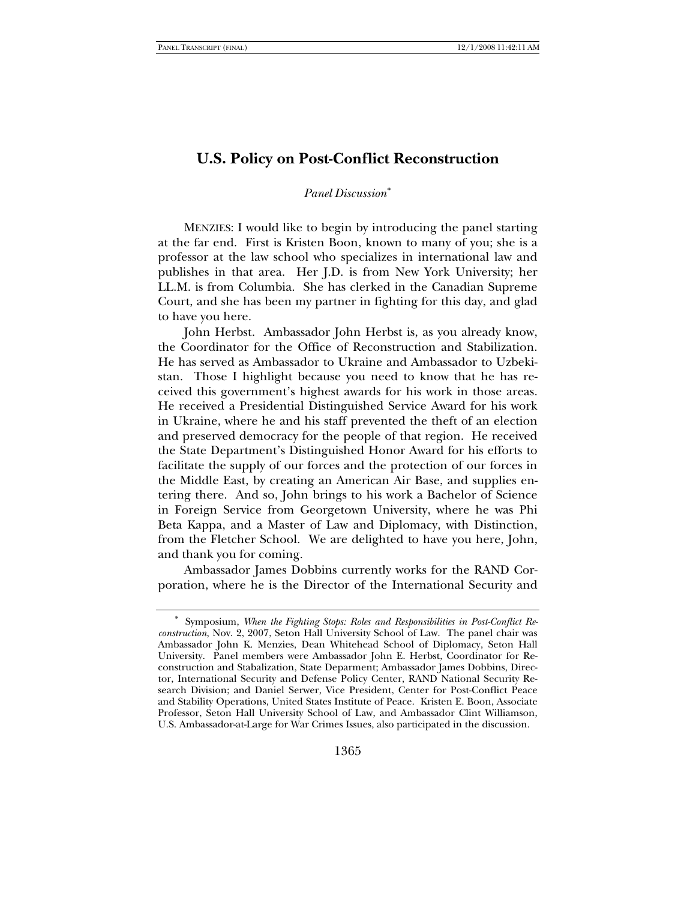## **U.S. Policy on Post-Conflict Reconstruction**

### *Panel Discussion*[∗](#page-0-0)

MENZIES: I would like to begin by introducing the panel starting at the far end. First is Kristen Boon, known to many of you; she is a professor at the law school who specializes in international law and publishes in that area. Her J.D. is from New York University; her LL.M. is from Columbia. She has clerked in the Canadian Supreme Court, and she has been my partner in fighting for this day, and glad to have you here.

John Herbst. Ambassador John Herbst is, as you already know, the Coordinator for the Office of Reconstruction and Stabilization. He has served as Ambassador to Ukraine and Ambassador to Uzbekistan. Those I highlight because you need to know that he has received this government's highest awards for his work in those areas. He received a Presidential Distinguished Service Award for his work in Ukraine, where he and his staff prevented the theft of an election and preserved democracy for the people of that region. He received the State Department's Distinguished Honor Award for his efforts to facilitate the supply of our forces and the protection of our forces in the Middle East, by creating an American Air Base, and supplies entering there. And so, John brings to his work a Bachelor of Science in Foreign Service from Georgetown University, where he was Phi Beta Kappa, and a Master of Law and Diplomacy, with Distinction, from the Fletcher School. We are delighted to have you here, John, and thank you for coming.

Ambassador James Dobbins currently works for the RAND Corporation, where he is the Director of the International Security and

<span id="page-0-0"></span>Symposium, *When the Fighting Stops: Roles and Responsibilities in Post-Conflict Reconstruction*, Nov. 2, 2007, Seton Hall University School of Law. The panel chair was Ambassador John K. Menzies, Dean Whitehead School of Diplomacy, Seton Hall University. Panel members were Ambassador John E. Herbst, Coordinator for Reconstruction and Stabalization, State Deparment; Ambassador James Dobbins, Director, International Security and Defense Policy Center, RAND National Security Research Division; and Daniel Serwer, Vice President, Center for Post-Conflict Peace and Stability Operations, United States Institute of Peace. Kristen E. Boon, Associate Professor, Seton Hall University School of Law, and Ambassador Clint Williamson, U.S. Ambassador-at-Large for War Crimes Issues, also participated in the discussion.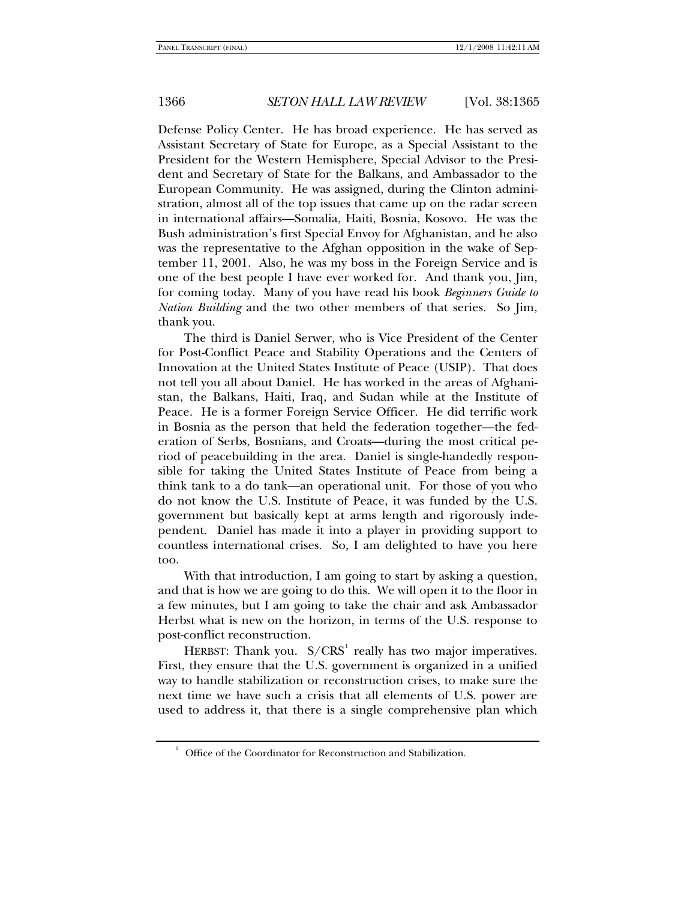<span id="page-1-0"></span>1

### 1366 *SETON HALL LAW REVIEW* [Vol. 38:1365

Defense Policy Center. He has broad experience. He has served as Assistant Secretary of State for Europe, as a Special Assistant to the President for the Western Hemisphere, Special Advisor to the President and Secretary of State for the Balkans, and Ambassador to the European Community. He was assigned, during the Clinton administration, almost all of the top issues that came up on the radar screen in international affairs—Somalia, Haiti, Bosnia, Kosovo. He was the Bush administration's first Special Envoy for Afghanistan, and he also was the representative to the Afghan opposition in the wake of September 11, 2001. Also, he was my boss in the Foreign Service and is one of the best people I have ever worked for. And thank you, Jim, for coming today. Many of you have read his book *Beginners Guide to Nation Building* and the two other members of that series. So Jim, thank you.

The third is Daniel Serwer, who is Vice President of the Center for Post-Conflict Peace and Stability Operations and the Centers of Innovation at the United States Institute of Peace (USIP). That does not tell you all about Daniel. He has worked in the areas of Afghanistan, the Balkans, Haiti, Iraq, and Sudan while at the Institute of Peace. He is a former Foreign Service Officer. He did terrific work in Bosnia as the person that held the federation together—the federation of Serbs, Bosnians, and Croats—during the most critical period of peacebuilding in the area. Daniel is single-handedly responsible for taking the United States Institute of Peace from being a think tank to a do tank—an operational unit. For those of you who do not know the U.S. Institute of Peace, it was funded by the U.S. government but basically kept at arms length and rigorously independent. Daniel has made it into a player in providing support to countless international crises. So, I am delighted to have you here too.

With that introduction, I am going to start by asking a question, and that is how we are going to do this. We will open it to the floor in a few minutes, but I am going to take the chair and ask Ambassador Herbst what is new on the horizon, in terms of the U.S. response to post-conflict reconstruction.

HERBST: Thank you.  $S/CRS<sup>1</sup>$  $S/CRS<sup>1</sup>$  $S/CRS<sup>1</sup>$  really has two major imperatives. First, they ensure that the U.S. government is organized in a unified way to handle stabilization or reconstruction crises, to make sure the next time we have such a crisis that all elements of U.S. power are used to address it, that there is a single comprehensive plan which

Office of the Coordinator for Reconstruction and Stabilization.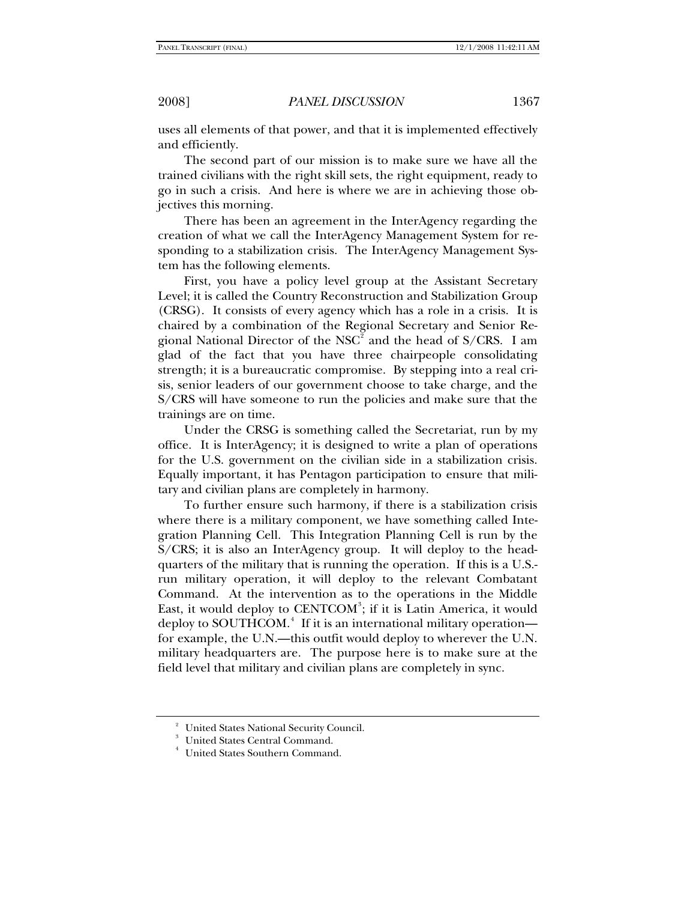uses all elements of that power, and that it is implemented effectively and efficiently.

The second part of our mission is to make sure we have all the trained civilians with the right skill sets, the right equipment, ready to go in such a crisis. And here is where we are in achieving those objectives this morning.

There has been an agreement in the InterAgency regarding the creation of what we call the InterAgency Management System for responding to a stabilization crisis. The InterAgency Management System has the following elements.

First, you have a policy level group at the Assistant Secretary Level; it is called the Country Reconstruction and Stabilization Group (CRSG). It consists of every agency which has a role in a crisis. It is chaired by a combination of the Regional Secretary and Senior Re-gional National Director of the NSC<sup>[2](#page-2-0)</sup> and the head of S/CRS. I am glad of the fact that you have three chairpeople consolidating strength; it is a bureaucratic compromise. By stepping into a real crisis, senior leaders of our government choose to take charge, and the S/CRS will have someone to run the policies and make sure that the trainings are on time.

Under the CRSG is something called the Secretariat, run by my office. It is InterAgency; it is designed to write a plan of operations for the U.S. government on the civilian side in a stabilization crisis. Equally important, it has Pentagon participation to ensure that military and civilian plans are completely in harmony.

To further ensure such harmony, if there is a stabilization crisis where there is a military component, we have something called Integration Planning Cell. This Integration Planning Cell is run by the S/CRS; it is also an InterAgency group. It will deploy to the headquarters of the military that is running the operation. If this is a U.S. run military operation, it will deploy to the relevant Combatant Command. At the intervention as to the operations in the Middle East, it would deploy to CENTCOM<sup>[3](#page-2-1)</sup>; if it is Latin America, it would deploy to SOUTHCOM.<sup>[4](#page-2-2)</sup> If it is an international military operation for example, the U.N.—this outfit would deploy to wherever the U.N. military headquarters are. The purpose here is to make sure at the field level that military and civilian plans are completely in sync.

<span id="page-2-2"></span>4

<span id="page-2-0"></span><sup>2</sup> United States National Security Council.

<span id="page-2-1"></span><sup>3</sup> United States Central Command.

United States Southern Command.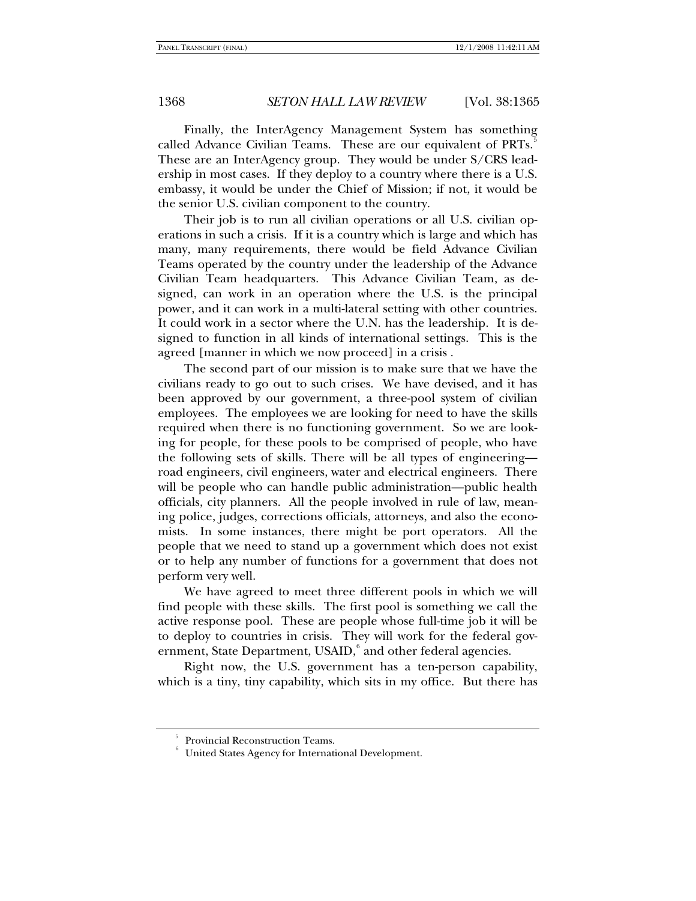Finally, the InterAgency Management System has something called Advance Civilian Teams. These are our equivalent of PRTs.<sup>[5](#page-3-0)</sup> These are an InterAgency group. They would be under S/CRS leadership in most cases. If they deploy to a country where there is a U.S. embassy, it would be under the Chief of Mission; if not, it would be the senior U.S. civilian component to the country.

Their job is to run all civilian operations or all U.S. civilian operations in such a crisis. If it is a country which is large and which has many, many requirements, there would be field Advance Civilian Teams operated by the country under the leadership of the Advance Civilian Team headquarters. This Advance Civilian Team, as designed, can work in an operation where the U.S. is the principal power, and it can work in a multi-lateral setting with other countries. It could work in a sector where the U.N. has the leadership. It is designed to function in all kinds of international settings. This is the agreed [manner in which we now proceed] in a crisis .

The second part of our mission is to make sure that we have the civilians ready to go out to such crises. We have devised, and it has been approved by our government, a three-pool system of civilian employees. The employees we are looking for need to have the skills required when there is no functioning government. So we are looking for people, for these pools to be comprised of people, who have the following sets of skills. There will be all types of engineering road engineers, civil engineers, water and electrical engineers. There will be people who can handle public administration—public health officials, city planners. All the people involved in rule of law, meaning police, judges, corrections officials, attorneys, and also the economists. In some instances, there might be port operators. All the people that we need to stand up a government which does not exist or to help any number of functions for a government that does not perform very well.

We have agreed to meet three different pools in which we will find people with these skills. The first pool is something we call the active response pool. These are people whose full-time job it will be to deploy to countries in crisis. They will work for the federal gov-ernment, State Department, USAID,<sup>[6](#page-3-1)</sup> and other federal agencies.

<span id="page-3-0"></span>Right now, the U.S. government has a ten-person capability, which is a tiny, tiny capability, which sits in my office. But there has

<sup>5</sup> Provincial Reconstruction Teams.

<span id="page-3-1"></span><sup>6</sup> United States Agency for International Development.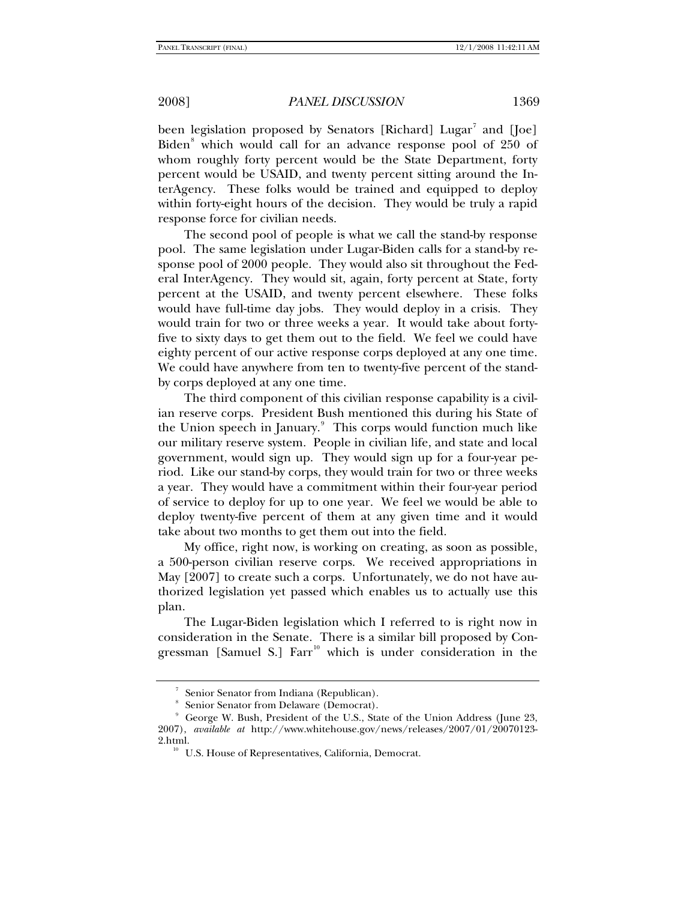been legislation proposed by Senators [Richard] Lugar<sup>[7](#page-4-0)</sup> and [Joe] Biden<sup>[8](#page-4-1)</sup> which would call for an advance response pool of 250 of whom roughly forty percent would be the State Department, forty percent would be USAID, and twenty percent sitting around the InterAgency. These folks would be trained and equipped to deploy within forty-eight hours of the decision. They would be truly a rapid response force for civilian needs.

The second pool of people is what we call the stand-by response pool. The same legislation under Lugar-Biden calls for a stand-by response pool of 2000 people. They would also sit throughout the Federal InterAgency. They would sit, again, forty percent at State, forty percent at the USAID, and twenty percent elsewhere. These folks would have full-time day jobs. They would deploy in a crisis. They would train for two or three weeks a year. It would take about fortyfive to sixty days to get them out to the field. We feel we could have eighty percent of our active response corps deployed at any one time. We could have anywhere from ten to twenty-five percent of the standby corps deployed at any one time.

The third component of this civilian response capability is a civilian reserve corps. President Bush mentioned this during his State of the Union speech in January.<sup>[9](#page-4-2)</sup> This corps would function much like our military reserve system. People in civilian life, and state and local government, would sign up. They would sign up for a four-year period. Like our stand-by corps, they would train for two or three weeks a year. They would have a commitment within their four-year period of service to deploy for up to one year. We feel we would be able to deploy twenty-five percent of them at any given time and it would take about two months to get them out into the field.

My office, right now, is working on creating, as soon as possible, a 500-person civilian reserve corps. We received appropriations in May [2007] to create such a corps. Unfortunately, we do not have authorized legislation yet passed which enables us to actually use this plan.

The Lugar-Biden legislation which I referred to is right now in consideration in the Senate. There is a similar bill proposed by Congressman [Samuel S.]  $Farr<sup>10</sup>$  $Farr<sup>10</sup>$  $Farr<sup>10</sup>$  which is under consideration in the

<sup>7</sup> Senior Senator from Indiana (Republican).

<sup>8</sup> Senior Senator from Delaware (Democrat).

<span id="page-4-3"></span><span id="page-4-2"></span><span id="page-4-1"></span><span id="page-4-0"></span><sup>9</sup> George W. Bush, President of the U.S., State of the Union Address (June 23, 2007), *available at* http://www.whitehouse.gov/news/releases/2007/01/20070123- 2.html.<br><sup>10</sup> U.S. House of Representatives, California, Democrat.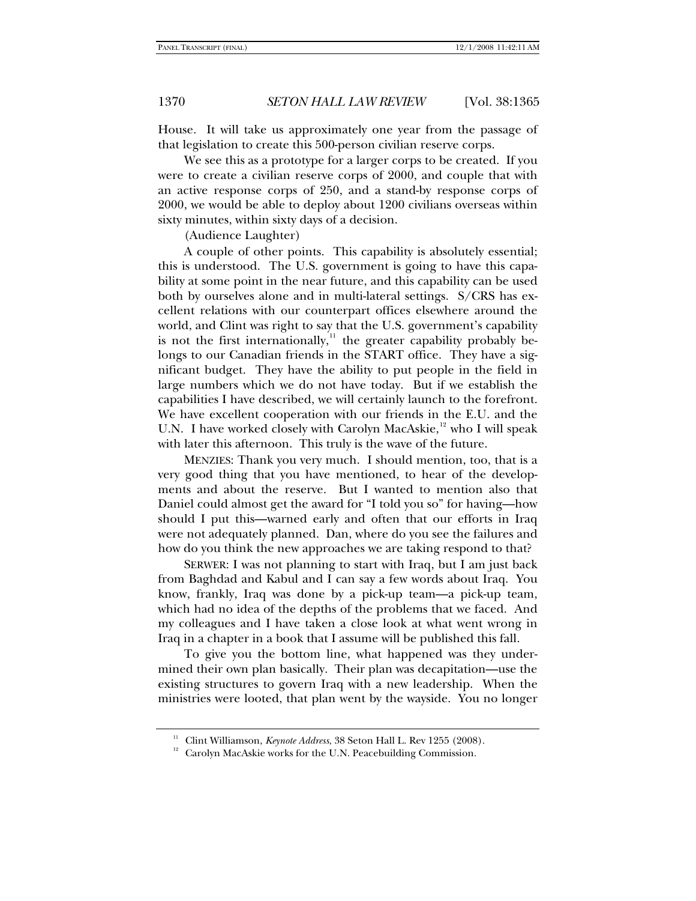House. It will take us approximately one year from the passage of that legislation to create this 500-person civilian reserve corps.

We see this as a prototype for a larger corps to be created. If you were to create a civilian reserve corps of 2000, and couple that with an active response corps of 250, and a stand-by response corps of 2000, we would be able to deploy about 1200 civilians overseas within sixty minutes, within sixty days of a decision.

(Audience Laughter)

A couple of other points. This capability is absolutely essential; this is understood. The U.S. government is going to have this capability at some point in the near future, and this capability can be used both by ourselves alone and in multi-lateral settings. S/CRS has excellent relations with our counterpart offices elsewhere around the world, and Clint was right to say that the U.S. government's capability is not the first internationally, $\mu$ <sup>[11](#page-5-0)</sup> the greater capability probably belongs to our Canadian friends in the START office. They have a significant budget. They have the ability to put people in the field in large numbers which we do not have today. But if we establish the capabilities I have described, we will certainly launch to the forefront. We have excellent cooperation with our friends in the E.U. and the U.N. I have worked closely with Carolyn MacAskie,<sup>[12](#page-5-1)</sup> who I will speak with later this afternoon. This truly is the wave of the future.

MENZIES: Thank you very much. I should mention, too, that is a very good thing that you have mentioned, to hear of the developments and about the reserve. But I wanted to mention also that Daniel could almost get the award for "I told you so" for having—how should I put this—warned early and often that our efforts in Iraq were not adequately planned. Dan, where do you see the failures and how do you think the new approaches we are taking respond to that?

SERWER: I was not planning to start with Iraq, but I am just back from Baghdad and Kabul and I can say a few words about Iraq. You know, frankly, Iraq was done by a pick-up team—a pick-up team, which had no idea of the depths of the problems that we faced. And my colleagues and I have taken a close look at what went wrong in Iraq in a chapter in a book that I assume will be published this fall.

To give you the bottom line, what happened was they undermined their own plan basically. Their plan was decapitation—use the existing structures to govern Iraq with a new leadership. When the ministries were looted, that plan went by the wayside. You no longer

<span id="page-5-1"></span><span id="page-5-0"></span><sup>&</sup>lt;sup>11</sup> Clint Williamson, *Keynote Address*, 38 Seton Hall L. Rev 1255 (2008).<br><sup>12</sup> Carolyn MacAskie works for the U.N. Peacebuilding Commission.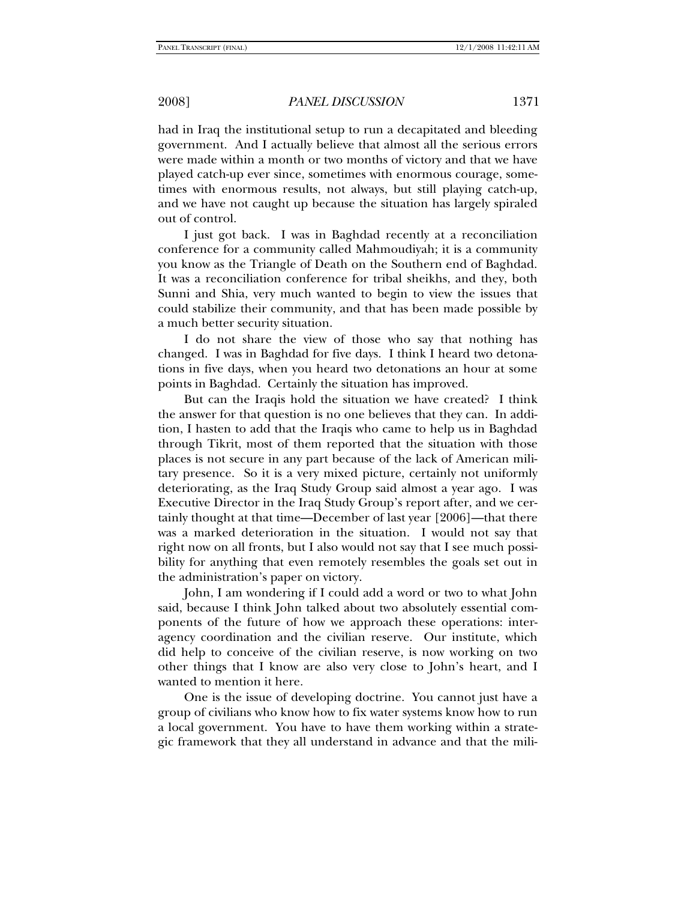had in Iraq the institutional setup to run a decapitated and bleeding government. And I actually believe that almost all the serious errors were made within a month or two months of victory and that we have played catch-up ever since, sometimes with enormous courage, sometimes with enormous results, not always, but still playing catch-up, and we have not caught up because the situation has largely spiraled out of control.

I just got back. I was in Baghdad recently at a reconciliation conference for a community called Mahmoudiyah; it is a community you know as the Triangle of Death on the Southern end of Baghdad. It was a reconciliation conference for tribal sheikhs, and they, both Sunni and Shia, very much wanted to begin to view the issues that could stabilize their community, and that has been made possible by a much better security situation.

I do not share the view of those who say that nothing has changed. I was in Baghdad for five days. I think I heard two detonations in five days, when you heard two detonations an hour at some points in Baghdad. Certainly the situation has improved.

But can the Iraqis hold the situation we have created? I think the answer for that question is no one believes that they can. In addition, I hasten to add that the Iraqis who came to help us in Baghdad through Tikrit, most of them reported that the situation with those places is not secure in any part because of the lack of American military presence. So it is a very mixed picture, certainly not uniformly deteriorating, as the Iraq Study Group said almost a year ago. I was Executive Director in the Iraq Study Group's report after, and we certainly thought at that time—December of last year [2006]—that there was a marked deterioration in the situation. I would not say that right now on all fronts, but I also would not say that I see much possibility for anything that even remotely resembles the goals set out in the administration's paper on victory.

John, I am wondering if I could add a word or two to what John said, because I think John talked about two absolutely essential components of the future of how we approach these operations: interagency coordination and the civilian reserve. Our institute, which did help to conceive of the civilian reserve, is now working on two other things that I know are also very close to John's heart, and I wanted to mention it here.

One is the issue of developing doctrine. You cannot just have a group of civilians who know how to fix water systems know how to run a local government. You have to have them working within a strategic framework that they all understand in advance and that the mili-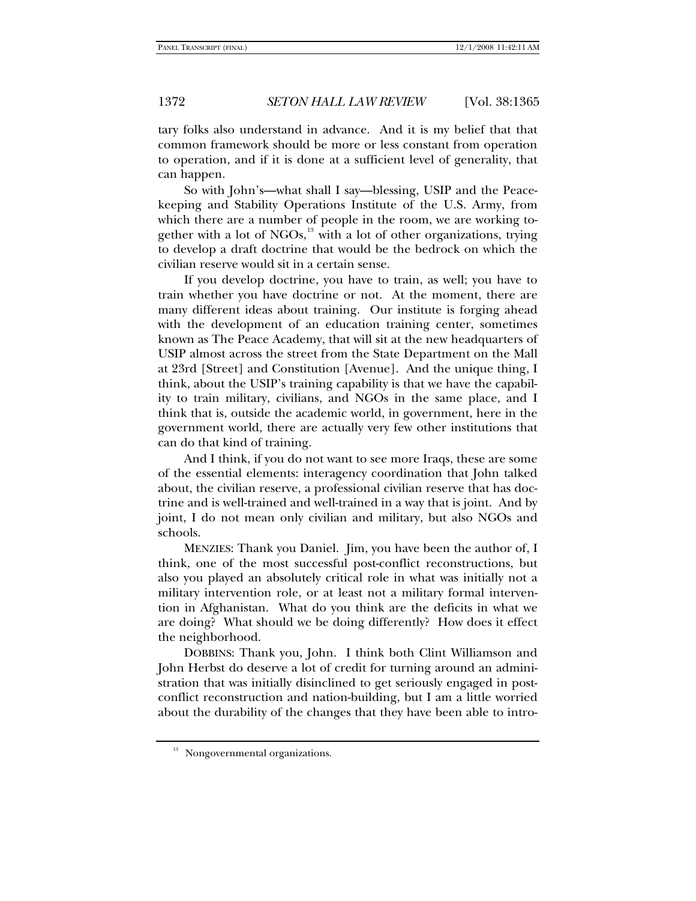tary folks also understand in advance. And it is my belief that that common framework should be more or less constant from operation to operation, and if it is done at a sufficient level of generality, that can happen.

So with John's—what shall I say—blessing, USIP and the Peacekeeping and Stability Operations Institute of the U.S. Army, from which there are a number of people in the room, we are working together with a lot of NGOs, $^{13}$  $^{13}$  $^{13}$  with a lot of other organizations, trying to develop a draft doctrine that would be the bedrock on which the civilian reserve would sit in a certain sense.

If you develop doctrine, you have to train, as well; you have to train whether you have doctrine or not. At the moment, there are many different ideas about training. Our institute is forging ahead with the development of an education training center, sometimes known as The Peace Academy, that will sit at the new headquarters of USIP almost across the street from the State Department on the Mall at 23rd [Street] and Constitution [Avenue]. And the unique thing, I think, about the USIP's training capability is that we have the capability to train military, civilians, and NGOs in the same place, and I think that is, outside the academic world, in government, here in the government world, there are actually very few other institutions that can do that kind of training.

And I think, if you do not want to see more Iraqs, these are some of the essential elements: interagency coordination that John talked about, the civilian reserve, a professional civilian reserve that has doctrine and is well-trained and well-trained in a way that is joint. And by joint, I do not mean only civilian and military, but also NGOs and schools.

MENZIES: Thank you Daniel. Jim, you have been the author of, I think, one of the most successful post-conflict reconstructions, but also you played an absolutely critical role in what was initially not a military intervention role, or at least not a military formal intervention in Afghanistan. What do you think are the deficits in what we are doing? What should we be doing differently? How does it effect the neighborhood.

DOBBINS: Thank you, John. I think both Clint Williamson and John Herbst do deserve a lot of credit for turning around an administration that was initially disinclined to get seriously engaged in postconflict reconstruction and nation-building, but I am a little worried about the durability of the changes that they have been able to intro-

<span id="page-7-0"></span><sup>&</sup>lt;sup>13</sup> Nongovernmental organizations.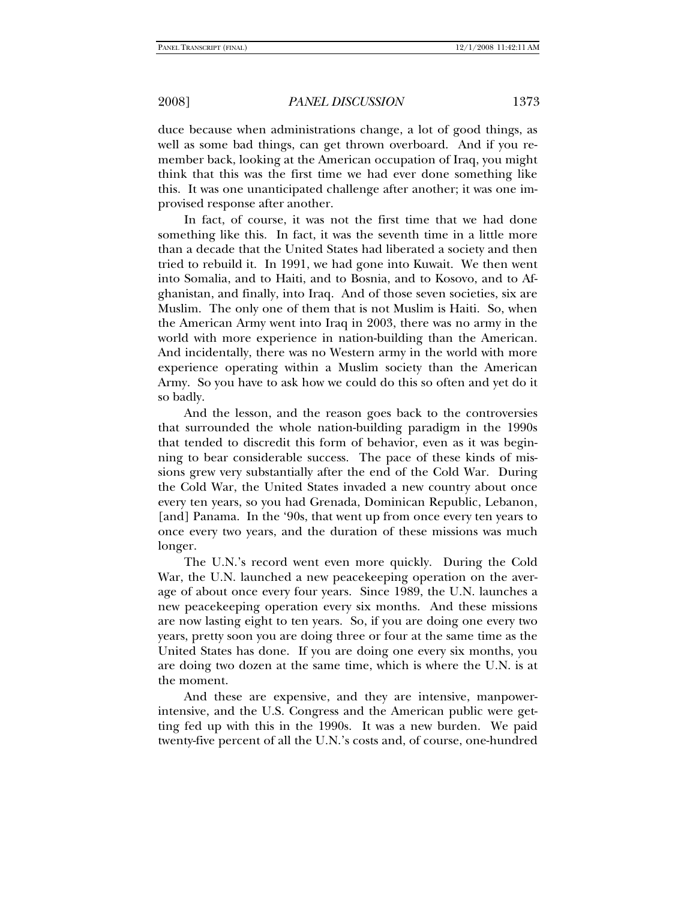duce because when administrations change, a lot of good things, as well as some bad things, can get thrown overboard. And if you remember back, looking at the American occupation of Iraq, you might think that this was the first time we had ever done something like this. It was one unanticipated challenge after another; it was one improvised response after another.

In fact, of course, it was not the first time that we had done something like this. In fact, it was the seventh time in a little more than a decade that the United States had liberated a society and then tried to rebuild it. In 1991, we had gone into Kuwait. We then went into Somalia, and to Haiti, and to Bosnia, and to Kosovo, and to Afghanistan, and finally, into Iraq. And of those seven societies, six are Muslim. The only one of them that is not Muslim is Haiti. So, when the American Army went into Iraq in 2003, there was no army in the world with more experience in nation-building than the American. And incidentally, there was no Western army in the world with more experience operating within a Muslim society than the American Army. So you have to ask how we could do this so often and yet do it so badly.

And the lesson, and the reason goes back to the controversies that surrounded the whole nation-building paradigm in the 1990s that tended to discredit this form of behavior, even as it was beginning to bear considerable success. The pace of these kinds of missions grew very substantially after the end of the Cold War. During the Cold War, the United States invaded a new country about once every ten years, so you had Grenada, Dominican Republic, Lebanon, [and] Panama. In the '90s, that went up from once every ten years to once every two years, and the duration of these missions was much longer.

The U.N.'s record went even more quickly. During the Cold War, the U.N. launched a new peacekeeping operation on the average of about once every four years. Since 1989, the U.N. launches a new peacekeeping operation every six months. And these missions are now lasting eight to ten years. So, if you are doing one every two years, pretty soon you are doing three or four at the same time as the United States has done. If you are doing one every six months, you are doing two dozen at the same time, which is where the U.N. is at the moment.

And these are expensive, and they are intensive, manpowerintensive, and the U.S. Congress and the American public were getting fed up with this in the 1990s. It was a new burden. We paid twenty-five percent of all the U.N.'s costs and, of course, one-hundred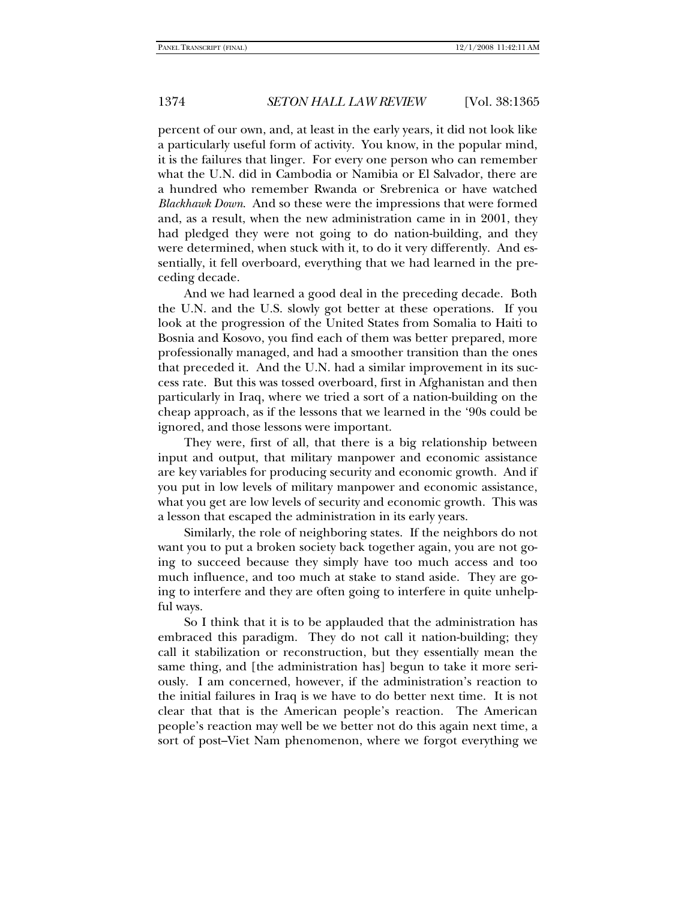percent of our own, and, at least in the early years, it did not look like a particularly useful form of activity. You know, in the popular mind, it is the failures that linger. For every one person who can remember what the U.N. did in Cambodia or Namibia or El Salvador, there are a hundred who remember Rwanda or Srebrenica or have watched *Blackhawk Down*. And so these were the impressions that were formed and, as a result, when the new administration came in in 2001, they had pledged they were not going to do nation-building, and they were determined, when stuck with it, to do it very differently. And essentially, it fell overboard, everything that we had learned in the preceding decade.

And we had learned a good deal in the preceding decade. Both the U.N. and the U.S. slowly got better at these operations. If you look at the progression of the United States from Somalia to Haiti to Bosnia and Kosovo, you find each of them was better prepared, more professionally managed, and had a smoother transition than the ones that preceded it. And the U.N. had a similar improvement in its success rate. But this was tossed overboard, first in Afghanistan and then particularly in Iraq, where we tried a sort of a nation-building on the cheap approach, as if the lessons that we learned in the '90s could be ignored, and those lessons were important.

They were, first of all, that there is a big relationship between input and output, that military manpower and economic assistance are key variables for producing security and economic growth. And if you put in low levels of military manpower and economic assistance, what you get are low levels of security and economic growth. This was a lesson that escaped the administration in its early years.

Similarly, the role of neighboring states. If the neighbors do not want you to put a broken society back together again, you are not going to succeed because they simply have too much access and too much influence, and too much at stake to stand aside. They are going to interfere and they are often going to interfere in quite unhelpful ways.

So I think that it is to be applauded that the administration has embraced this paradigm. They do not call it nation-building; they call it stabilization or reconstruction, but they essentially mean the same thing, and [the administration has] begun to take it more seriously. I am concerned, however, if the administration's reaction to the initial failures in Iraq is we have to do better next time. It is not clear that that is the American people's reaction. The American people's reaction may well be we better not do this again next time, a sort of post–Viet Nam phenomenon, where we forgot everything we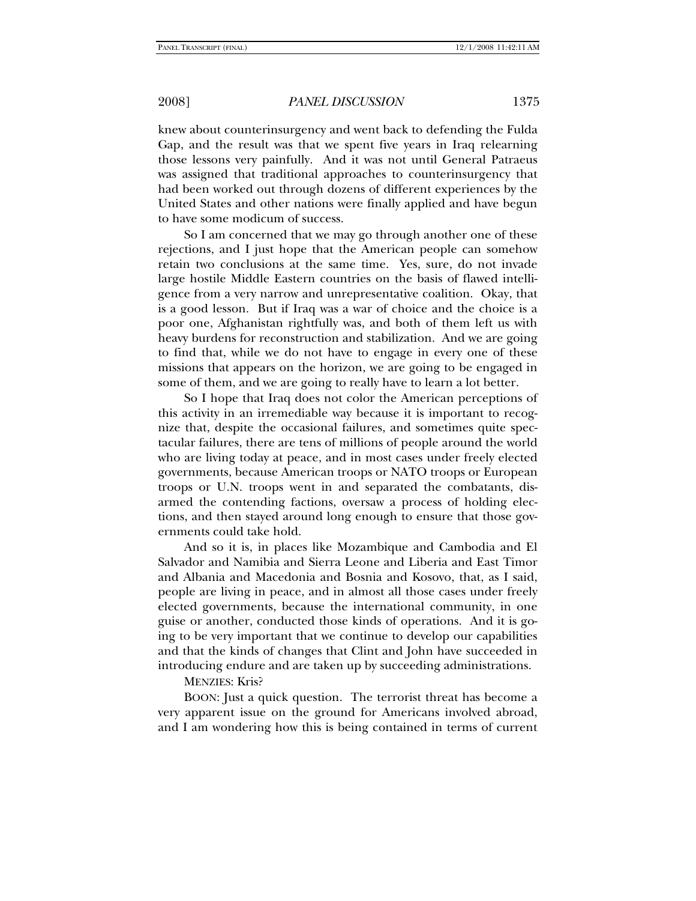knew about counterinsurgency and went back to defending the Fulda Gap, and the result was that we spent five years in Iraq relearning those lessons very painfully. And it was not until General Patraeus was assigned that traditional approaches to counterinsurgency that had been worked out through dozens of different experiences by the United States and other nations were finally applied and have begun to have some modicum of success.

So I am concerned that we may go through another one of these rejections, and I just hope that the American people can somehow retain two conclusions at the same time. Yes, sure, do not invade large hostile Middle Eastern countries on the basis of flawed intelligence from a very narrow and unrepresentative coalition. Okay, that is a good lesson. But if Iraq was a war of choice and the choice is a poor one, Afghanistan rightfully was, and both of them left us with heavy burdens for reconstruction and stabilization. And we are going to find that, while we do not have to engage in every one of these missions that appears on the horizon, we are going to be engaged in some of them, and we are going to really have to learn a lot better.

So I hope that Iraq does not color the American perceptions of this activity in an irremediable way because it is important to recognize that, despite the occasional failures, and sometimes quite spectacular failures, there are tens of millions of people around the world who are living today at peace, and in most cases under freely elected governments, because American troops or NATO troops or European troops or U.N. troops went in and separated the combatants, disarmed the contending factions, oversaw a process of holding elections, and then stayed around long enough to ensure that those governments could take hold.

And so it is, in places like Mozambique and Cambodia and El Salvador and Namibia and Sierra Leone and Liberia and East Timor and Albania and Macedonia and Bosnia and Kosovo, that, as I said, people are living in peace, and in almost all those cases under freely elected governments, because the international community, in one guise or another, conducted those kinds of operations. And it is going to be very important that we continue to develop our capabilities and that the kinds of changes that Clint and John have succeeded in introducing endure and are taken up by succeeding administrations.

### MENZIES: Kris?

BOON: Just a quick question. The terrorist threat has become a very apparent issue on the ground for Americans involved abroad, and I am wondering how this is being contained in terms of current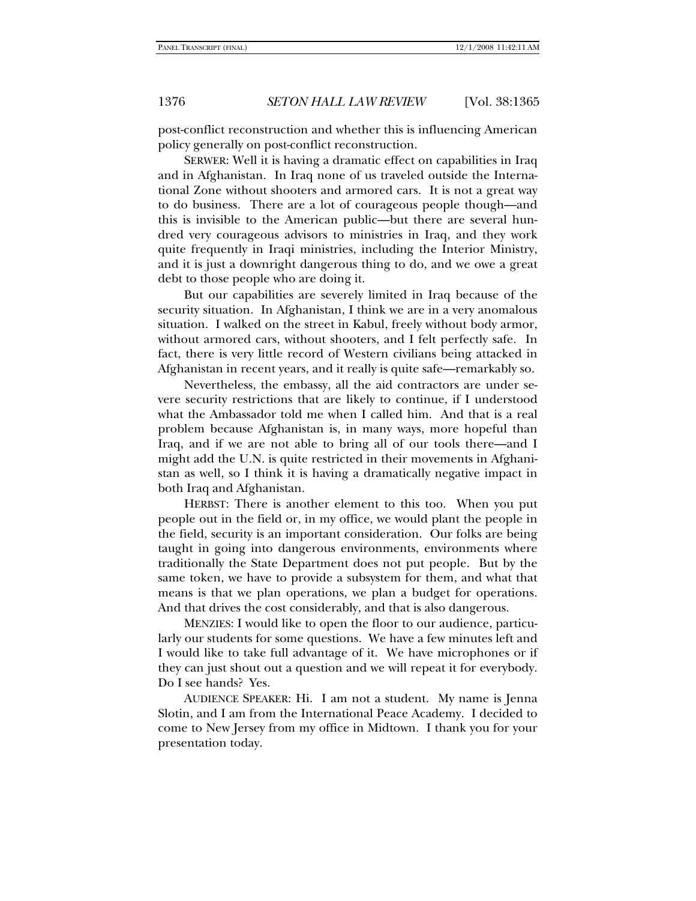post-conflict reconstruction and whether this is influencing American policy generally on post-conflict reconstruction.

SERWER: Well it is having a dramatic effect on capabilities in Iraq and in Afghanistan. In Iraq none of us traveled outside the International Zone without shooters and armored cars. It is not a great way to do business. There are a lot of courageous people though—and this is invisible to the American public—but there are several hundred very courageous advisors to ministries in Iraq, and they work quite frequently in Iraqi ministries, including the Interior Ministry, and it is just a downright dangerous thing to do, and we owe a great debt to those people who are doing it.

But our capabilities are severely limited in Iraq because of the security situation. In Afghanistan, I think we are in a very anomalous situation. I walked on the street in Kabul, freely without body armor, without armored cars, without shooters, and I felt perfectly safe. In fact, there is very little record of Western civilians being attacked in Afghanistan in recent years, and it really is quite safe—remarkably so.

Nevertheless, the embassy, all the aid contractors are under severe security restrictions that are likely to continue, if I understood what the Ambassador told me when I called him. And that is a real problem because Afghanistan is, in many ways, more hopeful than Iraq, and if we are not able to bring all of our tools there—and I might add the U.N. is quite restricted in their movements in Afghanistan as well, so I think it is having a dramatically negative impact in both Iraq and Afghanistan.

HERBST: There is another element to this too. When you put people out in the field or, in my office, we would plant the people in the field, security is an important consideration. Our folks are being taught in going into dangerous environments, environments where traditionally the State Department does not put people. But by the same token, we have to provide a subsystem for them, and what that means is that we plan operations, we plan a budget for operations. And that drives the cost considerably, and that is also dangerous.

MENZIES: I would like to open the floor to our audience, particularly our students for some questions. We have a few minutes left and I would like to take full advantage of it. We have microphones or if they can just shout out a question and we will repeat it for everybody. Do I see hands? Yes.

AUDIENCE SPEAKER: Hi. I am not a student. My name is Jenna Slotin, and I am from the International Peace Academy. I decided to come to New Jersey from my office in Midtown. I thank you for your presentation today.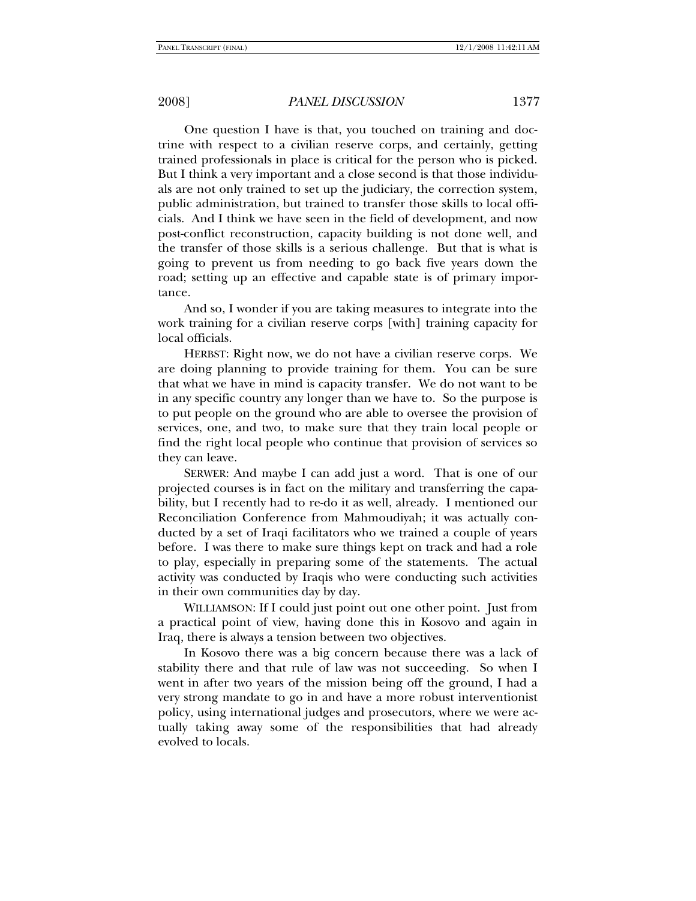One question I have is that, you touched on training and doctrine with respect to a civilian reserve corps, and certainly, getting trained professionals in place is critical for the person who is picked. But I think a very important and a close second is that those individuals are not only trained to set up the judiciary, the correction system, public administration, but trained to transfer those skills to local officials. And I think we have seen in the field of development, and now post-conflict reconstruction, capacity building is not done well, and the transfer of those skills is a serious challenge. But that is what is going to prevent us from needing to go back five years down the road; setting up an effective and capable state is of primary importance.

And so, I wonder if you are taking measures to integrate into the work training for a civilian reserve corps [with] training capacity for local officials.

HERBST: Right now, we do not have a civilian reserve corps. We are doing planning to provide training for them. You can be sure that what we have in mind is capacity transfer. We do not want to be in any specific country any longer than we have to. So the purpose is to put people on the ground who are able to oversee the provision of services, one, and two, to make sure that they train local people or find the right local people who continue that provision of services so they can leave.

SERWER: And maybe I can add just a word. That is one of our projected courses is in fact on the military and transferring the capability, but I recently had to re-do it as well, already. I mentioned our Reconciliation Conference from Mahmoudiyah; it was actually conducted by a set of Iraqi facilitators who we trained a couple of years before. I was there to make sure things kept on track and had a role to play, especially in preparing some of the statements. The actual activity was conducted by Iraqis who were conducting such activities in their own communities day by day.

WILLIAMSON: If I could just point out one other point. Just from a practical point of view, having done this in Kosovo and again in Iraq, there is always a tension between two objectives.

In Kosovo there was a big concern because there was a lack of stability there and that rule of law was not succeeding. So when I went in after two years of the mission being off the ground, I had a very strong mandate to go in and have a more robust interventionist policy, using international judges and prosecutors, where we were actually taking away some of the responsibilities that had already evolved to locals.